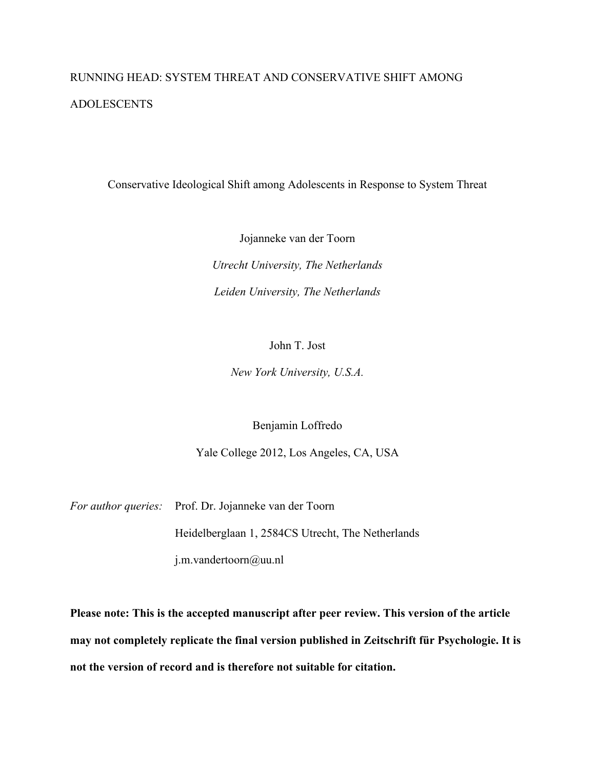# RUNNING HEAD: SYSTEM THREAT AND CONSERVATIVE SHIFT AMONG ADOLESCENTS

Conservative Ideological Shift among Adolescents in Response to System Threat

Jojanneke van der Toorn *Utrecht University, The Netherlands Leiden University, The Netherlands*

John T. Jost

*New York University, U.S.A.*

Benjamin Loffredo

Yale College 2012, Los Angeles, CA, USA

*For author queries:* Prof. Dr. Jojanneke van der Toorn

Heidelberglaan 1, 2584CS Utrecht, The Netherlands

j.m.vandertoorn@uu.nl

**Please note: This is the accepted manuscript after peer review. This version of the article may not completely replicate the final version published in Zeitschrift für Psychologie. It is not the version of record and is therefore not suitable for citation.**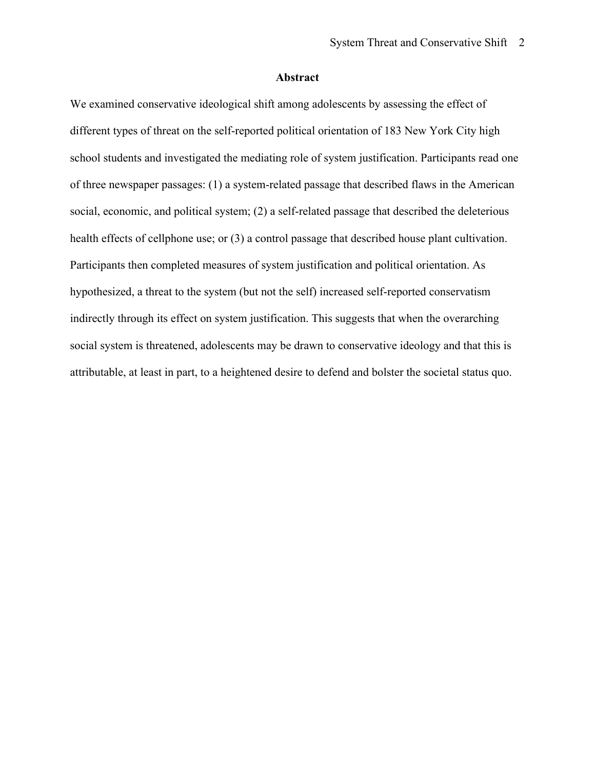#### **Abstract**

We examined conservative ideological shift among adolescents by assessing the effect of different types of threat on the self-reported political orientation of 183 New York City high school students and investigated the mediating role of system justification. Participants read one of three newspaper passages: (1) a system-related passage that described flaws in the American social, economic, and political system; (2) a self-related passage that described the deleterious health effects of cellphone use; or (3) a control passage that described house plant cultivation. Participants then completed measures of system justification and political orientation. As hypothesized, a threat to the system (but not the self) increased self-reported conservatism indirectly through its effect on system justification. This suggests that when the overarching social system is threatened, adolescents may be drawn to conservative ideology and that this is attributable, at least in part, to a heightened desire to defend and bolster the societal status quo.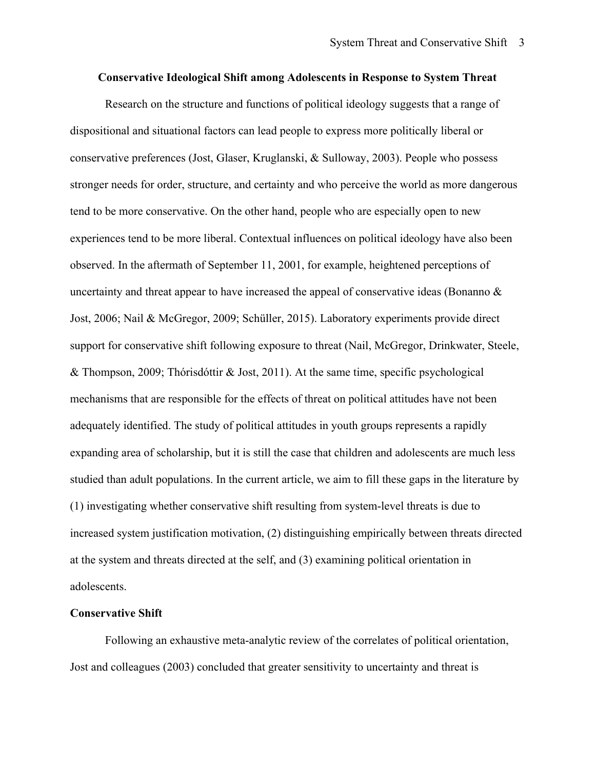#### **Conservative Ideological Shift among Adolescents in Response to System Threat**

Research on the structure and functions of political ideology suggests that a range of dispositional and situational factors can lead people to express more politically liberal or conservative preferences (Jost, Glaser, Kruglanski, & Sulloway, 2003). People who possess stronger needs for order, structure, and certainty and who perceive the world as more dangerous tend to be more conservative. On the other hand, people who are especially open to new experiences tend to be more liberal. Contextual influences on political ideology have also been observed. In the aftermath of September 11, 2001, for example, heightened perceptions of uncertainty and threat appear to have increased the appeal of conservative ideas (Bonanno  $\&$ Jost, 2006; Nail & McGregor, 2009; Schüller, 2015). Laboratory experiments provide direct support for conservative shift following exposure to threat (Nail, McGregor, Drinkwater, Steele, & Thompson, 2009; Thórisdóttir & Jost, 2011). At the same time, specific psychological mechanisms that are responsible for the effects of threat on political attitudes have not been adequately identified. The study of political attitudes in youth groups represents a rapidly expanding area of scholarship, but it is still the case that children and adolescents are much less studied than adult populations. In the current article, we aim to fill these gaps in the literature by (1) investigating whether conservative shift resulting from system-level threats is due to increased system justification motivation, (2) distinguishing empirically between threats directed at the system and threats directed at the self, and (3) examining political orientation in adolescents.

#### **Conservative Shift**

Following an exhaustive meta-analytic review of the correlates of political orientation, Jost and colleagues (2003) concluded that greater sensitivity to uncertainty and threat is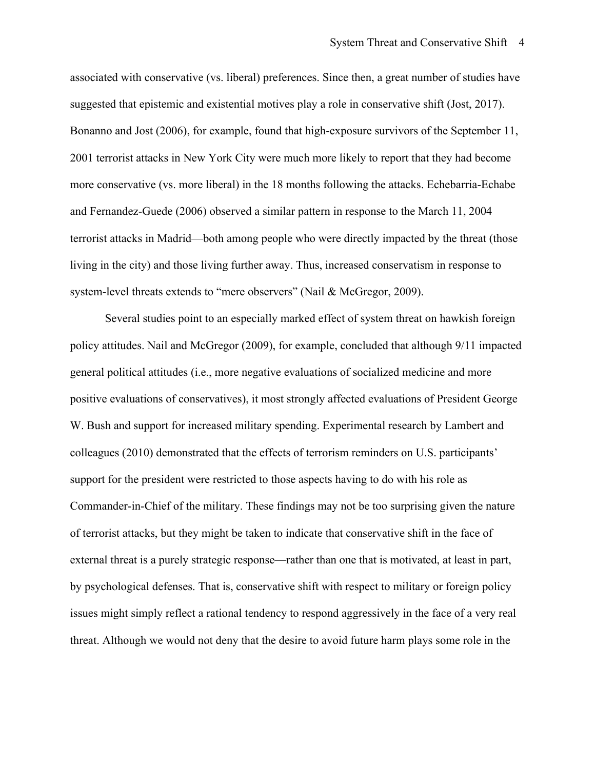associated with conservative (vs. liberal) preferences. Since then, a great number of studies have suggested that epistemic and existential motives play a role in conservative shift (Jost, 2017). Bonanno and Jost (2006), for example, found that high-exposure survivors of the September 11, 2001 terrorist attacks in New York City were much more likely to report that they had become more conservative (vs. more liberal) in the 18 months following the attacks. Echebarria-Echabe and Fernandez-Guede (2006) observed a similar pattern in response to the March 11, 2004 terrorist attacks in Madrid—both among people who were directly impacted by the threat (those living in the city) and those living further away. Thus, increased conservatism in response to system-level threats extends to "mere observers" (Nail & McGregor, 2009).

Several studies point to an especially marked effect of system threat on hawkish foreign policy attitudes. Nail and McGregor (2009), for example, concluded that although 9/11 impacted general political attitudes (i.e., more negative evaluations of socialized medicine and more positive evaluations of conservatives), it most strongly affected evaluations of President George W. Bush and support for increased military spending. Experimental research by Lambert and colleagues (2010) demonstrated that the effects of terrorism reminders on U.S. participants' support for the president were restricted to those aspects having to do with his role as Commander-in-Chief of the military. These findings may not be too surprising given the nature of terrorist attacks, but they might be taken to indicate that conservative shift in the face of external threat is a purely strategic response—rather than one that is motivated, at least in part, by psychological defenses. That is, conservative shift with respect to military or foreign policy issues might simply reflect a rational tendency to respond aggressively in the face of a very real threat. Although we would not deny that the desire to avoid future harm plays some role in the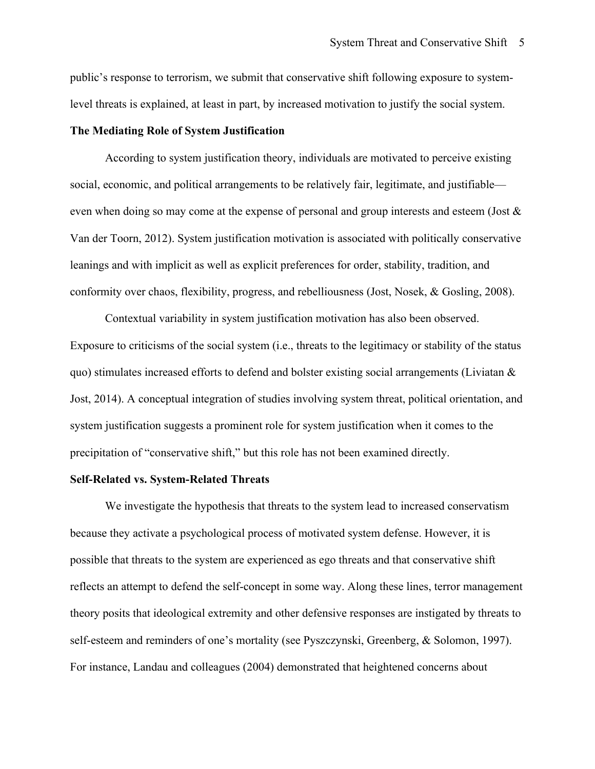public's response to terrorism, we submit that conservative shift following exposure to systemlevel threats is explained, at least in part, by increased motivation to justify the social system.

#### **The Mediating Role of System Justification**

According to system justification theory, individuals are motivated to perceive existing social, economic, and political arrangements to be relatively fair, legitimate, and justifiable even when doing so may come at the expense of personal and group interests and esteem (Jost & Van der Toorn, 2012). System justification motivation is associated with politically conservative leanings and with implicit as well as explicit preferences for order, stability, tradition, and conformity over chaos, flexibility, progress, and rebelliousness (Jost, Nosek, & Gosling, 2008).

Contextual variability in system justification motivation has also been observed. Exposure to criticisms of the social system (i.e., threats to the legitimacy or stability of the status quo) stimulates increased efforts to defend and bolster existing social arrangements (Liviatan  $\&$ Jost, 2014). A conceptual integration of studies involving system threat, political orientation, and system justification suggests a prominent role for system justification when it comes to the precipitation of "conservative shift," but this role has not been examined directly.

#### **Self-Related vs. System-Related Threats**

We investigate the hypothesis that threats to the system lead to increased conservatism because they activate a psychological process of motivated system defense. However, it is possible that threats to the system are experienced as ego threats and that conservative shift reflects an attempt to defend the self-concept in some way. Along these lines, terror management theory posits that ideological extremity and other defensive responses are instigated by threats to self-esteem and reminders of one's mortality (see Pyszczynski, Greenberg, & Solomon, 1997). For instance, Landau and colleagues (2004) demonstrated that heightened concerns about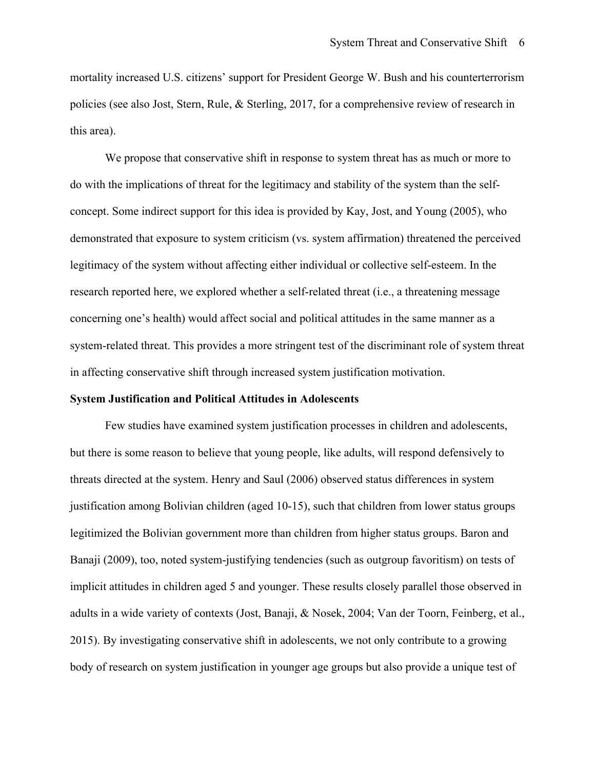mortality increased U.S. citizens' support for President George W. Bush and his counterterrorism policies (see also Jost, Stern, Rule, & Sterling, 2017, for a comprehensive review of research in this area).

We propose that conservative shift in response to system threat has as much or more to do with the implications of threat for the legitimacy and stability of the system than the selfconcept. Some indirect support for this idea is provided by Kay, Jost, and Young (2005), who demonstrated that exposure to system criticism (vs. system affirmation) threatened the perceived legitimacy of the system without affecting either individual or collective self-esteem. In the research reported here, we explored whether a self-related threat (i.e., a threatening message concerning one's health) would affect social and political attitudes in the same manner as a system-related threat. This provides a more stringent test of the discriminant role of system threat in affecting conservative shift through increased system justification motivation.

#### **System Justification and Political Attitudes in Adolescents**

Few studies have examined system justification processes in children and adolescents, but there is some reason to believe that young people, like adults, will respond defensively to threats directed at the system. Henry and Saul (2006) observed status differences in system justification among Bolivian children (aged 10-15), such that children from lower status groups legitimized the Bolivian government more than children from higher status groups. Baron and Banaji (2009), too, noted system-justifying tendencies (such as outgroup favoritism) on tests of implicit attitudes in children aged 5 and younger. These results closely parallel those observed in adults in a wide variety of contexts (Jost, Banaji, & Nosek, 2004; Van der Toorn, Feinberg, et al., 2015). By investigating conservative shift in adolescents, we not only contribute to a growing body of research on system justification in younger age groups but also provide a unique test of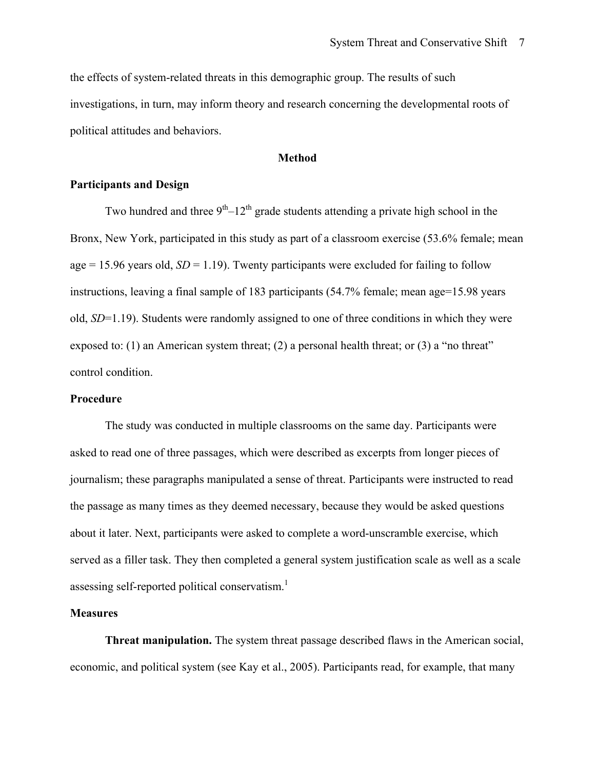the effects of system-related threats in this demographic group. The results of such investigations, in turn, may inform theory and research concerning the developmental roots of political attitudes and behaviors.

#### **Method**

#### **Participants and Design**

Two hundred and three  $9<sup>th</sup>-12<sup>th</sup>$  grade students attending a private high school in the Bronx, New York, participated in this study as part of a classroom exercise (53.6% female; mean age  $= 15.96$  years old,  $SD = 1.19$ ). Twenty participants were excluded for failing to follow instructions, leaving a final sample of 183 participants (54.7% female; mean age=15.98 years old, *SD*=1.19). Students were randomly assigned to one of three conditions in which they were exposed to: (1) an American system threat; (2) a personal health threat; or (3) a "no threat" control condition.

#### **Procedure**

The study was conducted in multiple classrooms on the same day. Participants were asked to read one of three passages, which were described as excerpts from longer pieces of journalism; these paragraphs manipulated a sense of threat. Participants were instructed to read the passage as many times as they deemed necessary, because they would be asked questions about it later. Next, participants were asked to complete a word-unscramble exercise, which served as a filler task. They then completed a general system justification scale as well as a scale assessing self-reported political conservatism.<sup>1</sup>

#### **Measures**

**Threat manipulation.** The system threat passage described flaws in the American social, economic, and political system (see Kay et al., 2005). Participants read, for example, that many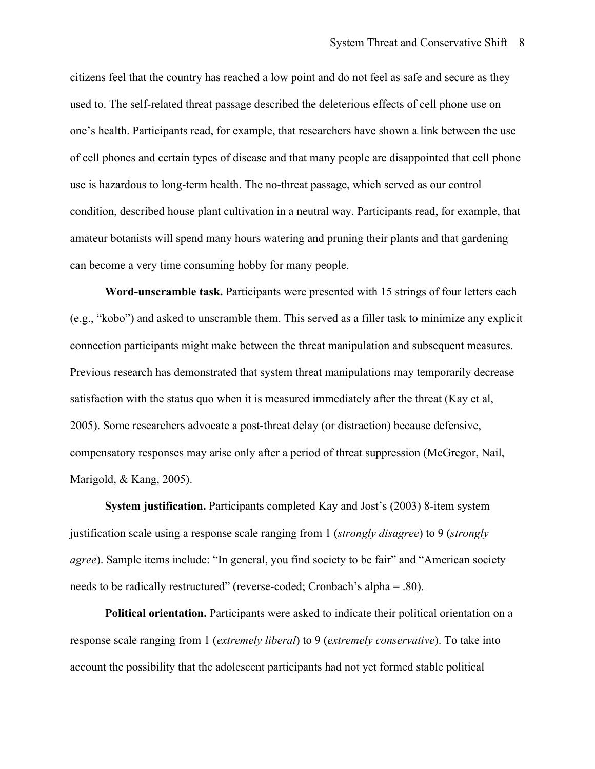citizens feel that the country has reached a low point and do not feel as safe and secure as they used to. The self-related threat passage described the deleterious effects of cell phone use on one's health. Participants read, for example, that researchers have shown a link between the use of cell phones and certain types of disease and that many people are disappointed that cell phone use is hazardous to long-term health. The no-threat passage, which served as our control condition, described house plant cultivation in a neutral way. Participants read, for example, that amateur botanists will spend many hours watering and pruning their plants and that gardening can become a very time consuming hobby for many people.

**Word-unscramble task.** Participants were presented with 15 strings of four letters each (e.g., "kobo") and asked to unscramble them. This served as a filler task to minimize any explicit connection participants might make between the threat manipulation and subsequent measures. Previous research has demonstrated that system threat manipulations may temporarily decrease satisfaction with the status quo when it is measured immediately after the threat (Kay et al, 2005). Some researchers advocate a post-threat delay (or distraction) because defensive, compensatory responses may arise only after a period of threat suppression (McGregor, Nail, Marigold, & Kang, 2005).

**System justification.** Participants completed Kay and Jost's (2003) 8-item system justification scale using a response scale ranging from 1 (*strongly disagree*) to 9 (*strongly agree*). Sample items include: "In general, you find society to be fair" and "American society needs to be radically restructured" (reverse-coded; Cronbach's alpha = .80).

**Political orientation.** Participants were asked to indicate their political orientation on a response scale ranging from 1 (*extremely liberal*) to 9 (*extremely conservative*). To take into account the possibility that the adolescent participants had not yet formed stable political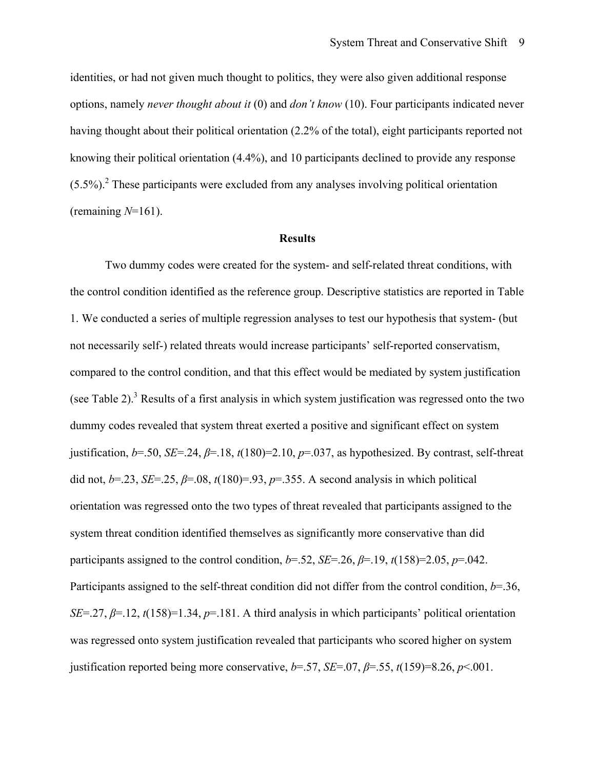identities, or had not given much thought to politics, they were also given additional response options, namely *never thought about it* (0) and *don't know* (10). Four participants indicated never having thought about their political orientation (2.2% of the total), eight participants reported not knowing their political orientation (4.4%), and 10 participants declined to provide any response  $(5.5\%)$ <sup>2</sup> These participants were excluded from any analyses involving political orientation (remaining *N*=161).

#### **Results**

Two dummy codes were created for the system- and self-related threat conditions, with the control condition identified as the reference group. Descriptive statistics are reported in Table 1. We conducted a series of multiple regression analyses to test our hypothesis that system- (but not necessarily self-) related threats would increase participants' self-reported conservatism, compared to the control condition, and that this effect would be mediated by system justification (see Table 2).<sup>3</sup> Results of a first analysis in which system justification was regressed onto the two dummy codes revealed that system threat exerted a positive and significant effect on system justification,  $b=50$ , *SE*=.24,  $\beta$ =.18,  $t(180)=2.10$ ,  $p=0.037$ , as hypothesized. By contrast, self-threat did not,  $b=23$ ,  $SE=25$ ,  $\beta=08$ ,  $t(180)=0.93$ ,  $p=.355$ . A second analysis in which political orientation was regressed onto the two types of threat revealed that participants assigned to the system threat condition identified themselves as significantly more conservative than did participants assigned to the control condition,  $b=52$ ,  $SE=.26$ ,  $\beta=.19$ ,  $t(158)=2.05$ ,  $p=.042$ . Participants assigned to the self-threat condition did not differ from the control condition, *b*=.36, *SE*=.27,  $\beta$ =.12,  $t(158)$ =1.34,  $p$ =.181. A third analysis in which participants' political orientation was regressed onto system justification revealed that participants who scored higher on system justification reported being more conservative,  $b = .57$ ,  $SE = .07$ ,  $\beta = .55$ ,  $t(159)=8.26$ ,  $p<.001$ .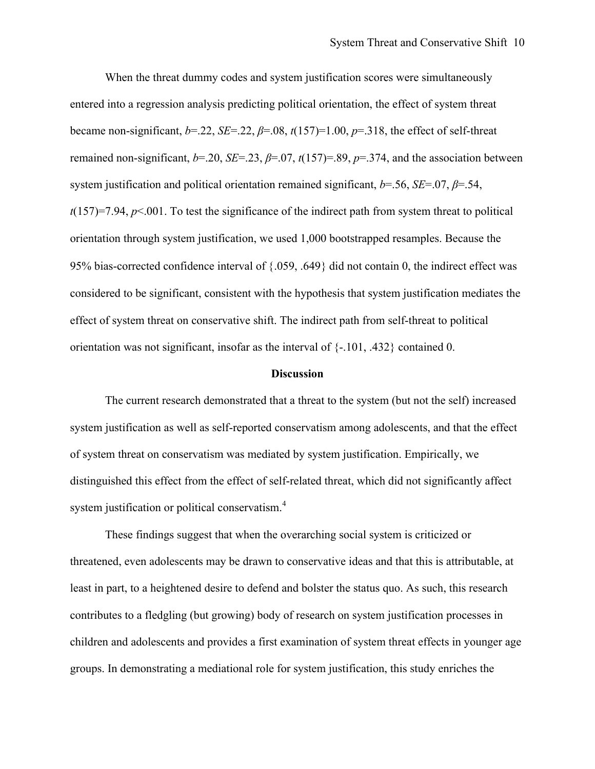When the threat dummy codes and system justification scores were simultaneously entered into a regression analysis predicting political orientation, the effect of system threat became non-significant,  $b=22$ ,  $SE=22$ ,  $\beta=.08$ ,  $t(157)=1.00$ ,  $p=.318$ , the effect of self-threat remained non-significant, *b*=.20, *SE*=.23, *β*=.07, *t*(157)=.89, *p*=.374, and the association between system justification and political orientation remained significant, *b*=.56, *SE*=.07, *β*=.54,  $t(157)=7.94$ ,  $p<0.001$ . To test the significance of the indirect path from system threat to political orientation through system justification, we used 1,000 bootstrapped resamples. Because the 95% bias-corrected confidence interval of {.059, .649} did not contain 0, the indirect effect was considered to be significant, consistent with the hypothesis that system justification mediates the effect of system threat on conservative shift. The indirect path from self-threat to political orientation was not significant, insofar as the interval of {-.101, .432} contained 0.

#### **Discussion**

The current research demonstrated that a threat to the system (but not the self) increased system justification as well as self-reported conservatism among adolescents, and that the effect of system threat on conservatism was mediated by system justification. Empirically, we distinguished this effect from the effect of self-related threat, which did not significantly affect system justification or political conservatism.<sup>4</sup>

These findings suggest that when the overarching social system is criticized or threatened, even adolescents may be drawn to conservative ideas and that this is attributable, at least in part, to a heightened desire to defend and bolster the status quo. As such, this research contributes to a fledgling (but growing) body of research on system justification processes in children and adolescents and provides a first examination of system threat effects in younger age groups. In demonstrating a mediational role for system justification, this study enriches the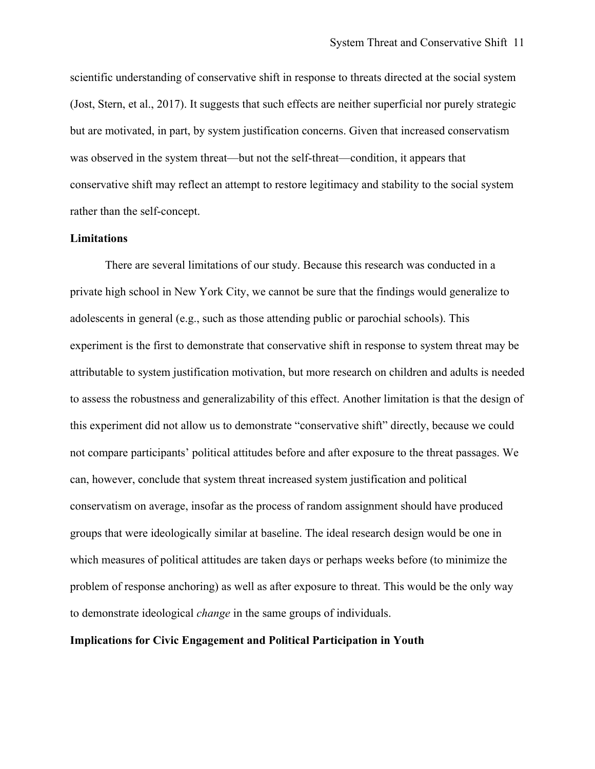scientific understanding of conservative shift in response to threats directed at the social system (Jost, Stern, et al., 2017). It suggests that such effects are neither superficial nor purely strategic but are motivated, in part, by system justification concerns. Given that increased conservatism was observed in the system threat—but not the self-threat—condition, it appears that conservative shift may reflect an attempt to restore legitimacy and stability to the social system rather than the self-concept.

# **Limitations**

There are several limitations of our study. Because this research was conducted in a private high school in New York City, we cannot be sure that the findings would generalize to adolescents in general (e.g., such as those attending public or parochial schools). This experiment is the first to demonstrate that conservative shift in response to system threat may be attributable to system justification motivation, but more research on children and adults is needed to assess the robustness and generalizability of this effect. Another limitation is that the design of this experiment did not allow us to demonstrate "conservative shift" directly, because we could not compare participants' political attitudes before and after exposure to the threat passages. We can, however, conclude that system threat increased system justification and political conservatism on average, insofar as the process of random assignment should have produced groups that were ideologically similar at baseline. The ideal research design would be one in which measures of political attitudes are taken days or perhaps weeks before (to minimize the problem of response anchoring) as well as after exposure to threat. This would be the only way to demonstrate ideological *change* in the same groups of individuals.

### **Implications for Civic Engagement and Political Participation in Youth**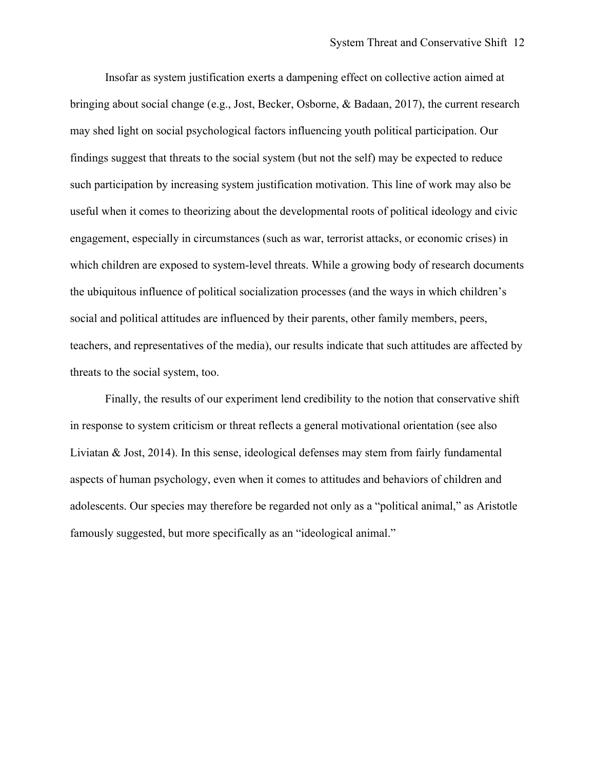Insofar as system justification exerts a dampening effect on collective action aimed at bringing about social change (e.g., Jost, Becker, Osborne, & Badaan, 2017), the current research may shed light on social psychological factors influencing youth political participation. Our findings suggest that threats to the social system (but not the self) may be expected to reduce such participation by increasing system justification motivation. This line of work may also be useful when it comes to theorizing about the developmental roots of political ideology and civic engagement, especially in circumstances (such as war, terrorist attacks, or economic crises) in which children are exposed to system-level threats. While a growing body of research documents the ubiquitous influence of political socialization processes (and the ways in which children's social and political attitudes are influenced by their parents, other family members, peers, teachers, and representatives of the media), our results indicate that such attitudes are affected by threats to the social system, too.

Finally, the results of our experiment lend credibility to the notion that conservative shift in response to system criticism or threat reflects a general motivational orientation (see also Liviatan  $\&$  Jost, 2014). In this sense, ideological defenses may stem from fairly fundamental aspects of human psychology, even when it comes to attitudes and behaviors of children and adolescents. Our species may therefore be regarded not only as a "political animal," as Aristotle famously suggested, but more specifically as an "ideological animal."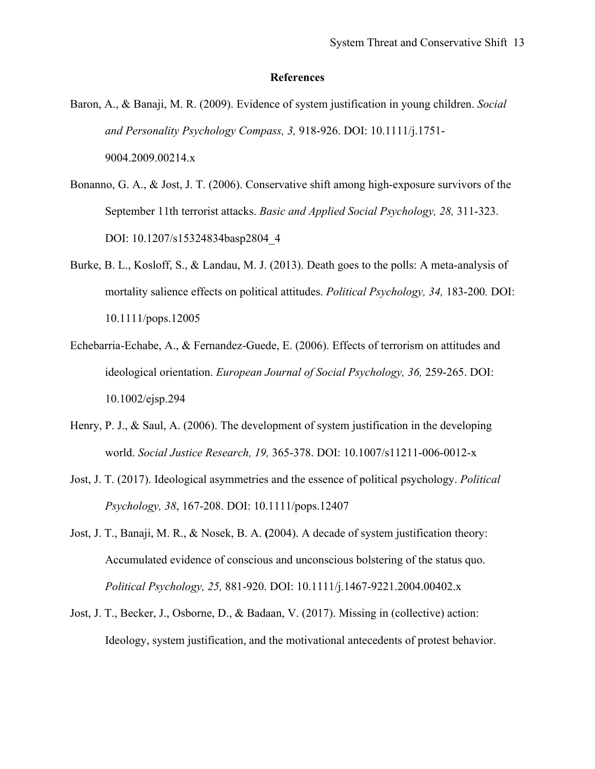#### **References**

- Baron, A., & Banaji, M. R. (2009). Evidence of system justification in young children. *Social and Personality Psychology Compass, 3,* 918-926. DOI: 10.1111/j.1751- 9004.2009.00214.x
- Bonanno, G. A., & Jost, J. T. (2006). Conservative shift among high-exposure survivors of the September 11th terrorist attacks. *Basic and Applied Social Psychology, 28,* 311-323. DOI: 10.1207/s15324834basp2804\_4
- Burke, B. L., Kosloff, S., & Landau, M. J. (2013). Death goes to the polls: A meta-analysis of mortality salience effects on political attitudes. *Political Psychology, 34,* 183-200*.* DOI: 10.1111/pops.12005
- Echebarria-Echabe, A., & Fernandez-Guede, E. (2006). Effects of terrorism on attitudes and ideological orientation. *European Journal of Social Psychology, 36,* 259-265. DOI: 10.1002/ejsp.294
- Henry, P. J., & Saul, A. (2006). The development of system justification in the developing world. *Social Justice Research, 19,* 365-378. DOI: 10.1007/s11211-006-0012-x
- Jost, J. T. (2017). Ideological asymmetries and the essence of political psychology. *Political Psychology, 38*, 167-208. DOI: 10.1111/pops.12407
- Jost, J. T., Banaji, M. R., & Nosek, B. A. **(**2004). A decade of system justification theory: Accumulated evidence of conscious and unconscious bolstering of the status quo. *Political Psychology, 25,* 881-920. DOI: 10.1111/j.1467-9221.2004.00402.x
- Jost, J. T., Becker, J., Osborne, D., & Badaan, V. (2017). Missing in (collective) action: Ideology, system justification, and the motivational antecedents of protest behavior.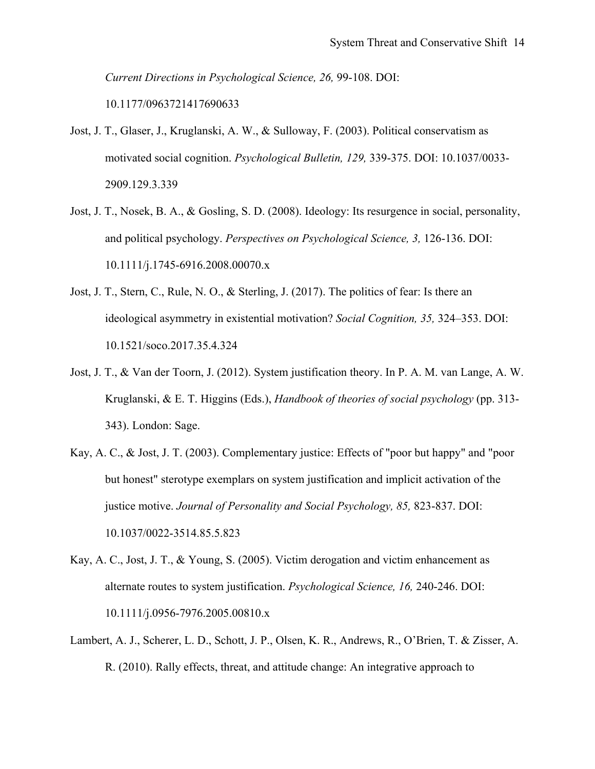*Current Directions in Psychological Science, 26,* 99-108. DOI:

10.1177/0963721417690633

- Jost, J. T., Glaser, J., Kruglanski, A. W., & Sulloway, F. (2003). Political conservatism as motivated social cognition. *Psychological Bulletin, 129,* 339-375. DOI: 10.1037/0033- 2909.129.3.339
- Jost, J. T., Nosek, B. A., & Gosling, S. D. (2008). Ideology: Its resurgence in social, personality, and political psychology. *Perspectives on Psychological Science, 3,* 126-136. DOI: 10.1111/j.1745-6916.2008.00070.x
- Jost, J. T., Stern, C., Rule, N. O., & Sterling, J. (2017). The politics of fear: Is there an ideological asymmetry in existential motivation? *Social Cognition, 35,* 324–353. DOI: 10.1521/soco.2017.35.4.324
- Jost, J. T., & Van der Toorn, J. (2012). System justification theory. In P. A. M. van Lange, A. W. Kruglanski, & E. T. Higgins (Eds.), *Handbook of theories of social psychology* (pp. 313- 343). London: Sage.
- Kay, A. C., & Jost, J. T. (2003). Complementary justice: Effects of "poor but happy" and "poor but honest" sterotype exemplars on system justification and implicit activation of the justice motive. *Journal of Personality and Social Psychology, 85,* 823-837. DOI: 10.1037/0022-3514.85.5.823
- Kay, A. C., Jost, J. T., & Young, S. (2005). Victim derogation and victim enhancement as alternate routes to system justification. *Psychological Science, 16,* 240-246. DOI: 10.1111/j.0956-7976.2005.00810.x
- Lambert, A. J., Scherer, L. D., Schott, J. P., Olsen, K. R., Andrews, R., O'Brien, T. & Zisser, A. R. (2010). Rally effects, threat, and attitude change: An integrative approach to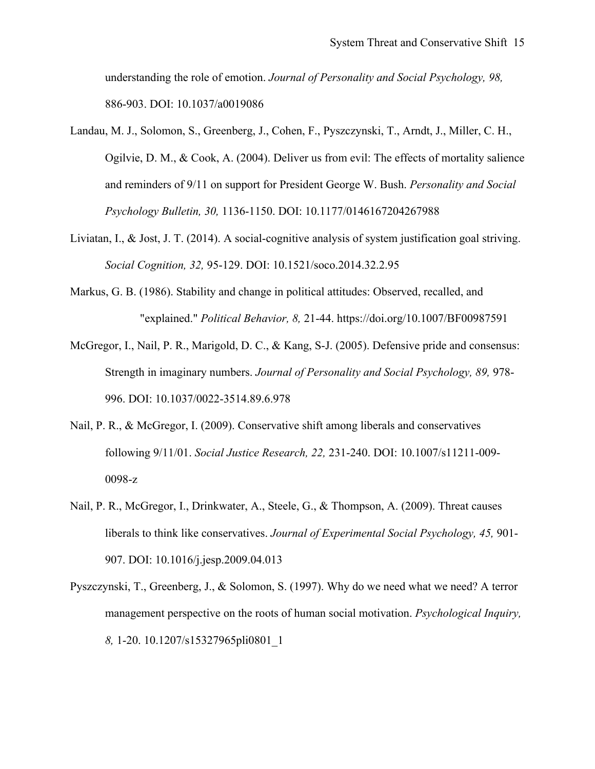understanding the role of emotion. *Journal of Personality and Social Psychology, 98,*  886-903. DOI: 10.1037/a0019086

- Landau, M. J., Solomon, S., Greenberg, J., Cohen, F., Pyszczynski, T., Arndt, J., Miller, C. H., Ogilvie, D. M., & Cook, A. (2004). Deliver us from evil: The effects of mortality salience and reminders of 9/11 on support for President George W. Bush. *Personality and Social Psychology Bulletin, 30,* 1136-1150. DOI: 10.1177/0146167204267988
- Liviatan, I., & Jost, J. T. (2014). A social-cognitive analysis of system justification goal striving. *Social Cognition, 32,* 95-129. DOI: 10.1521/soco.2014.32.2.95
- Markus, G. B. (1986). Stability and change in political attitudes: Observed, recalled, and "explained." *Political Behavior, 8,* 21-44. https://doi.org/10.1007/BF00987591
- McGregor, I., Nail, P. R., Marigold, D. C., & Kang, S-J. (2005). Defensive pride and consensus: Strength in imaginary numbers. *Journal of Personality and Social Psychology, 89,* 978- 996. DOI: 10.1037/0022-3514.89.6.978
- Nail, P. R., & McGregor, I. (2009). Conservative shift among liberals and conservatives following 9/11/01. *Social Justice Research, 22,* 231-240. DOI: 10.1007/s11211-009- 0098-z
- Nail, P. R., McGregor, I., Drinkwater, A., Steele, G., & Thompson, A. (2009). Threat causes liberals to think like conservatives. *Journal of Experimental Social Psychology, 45,* 901- 907. DOI: 10.1016/j.jesp.2009.04.013
- Pyszczynski, T., Greenberg, J., & Solomon, S. (1997). Why do we need what we need? A terror management perspective on the roots of human social motivation. *Psychological Inquiry, 8,* 1-20. 10.1207/s15327965pli0801\_1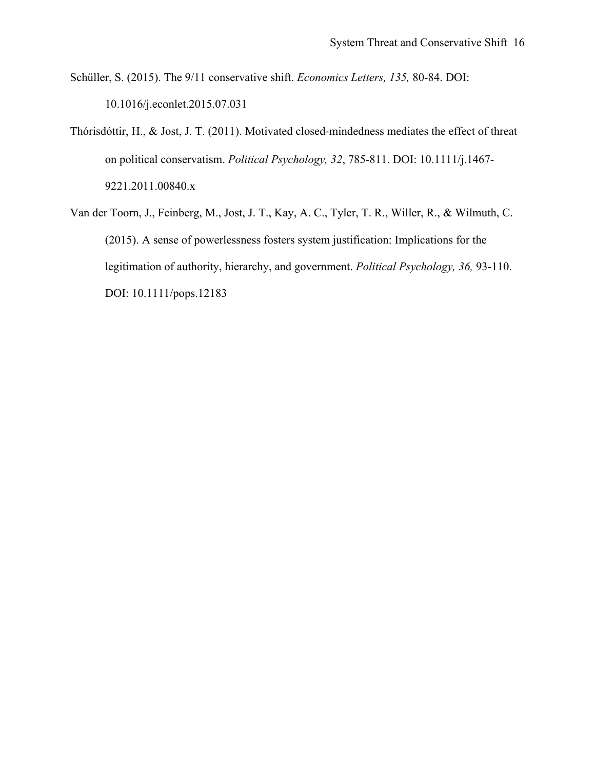Schüller, S. (2015). The 9/11 conservative shift. *Economics Letters, 135,* 80-84. DOI: 10.1016/j.econlet.2015.07.031

- Thórisdóttir, H., & Jost, J. T. (2011). Motivated closed-mindedness mediates the effect of threat on political conservatism. *Political Psychology, 32*, 785-811. DOI: 10.1111/j.1467- 9221.2011.00840.x
- Van der Toorn, J., Feinberg, M., Jost, J. T., Kay, A. C., Tyler, T. R., Willer, R., & Wilmuth, C. (2015). A sense of powerlessness fosters system justification: Implications for the legitimation of authority, hierarchy, and government. *Political Psychology, 36,* 93-110. DOI: 10.1111/pops.12183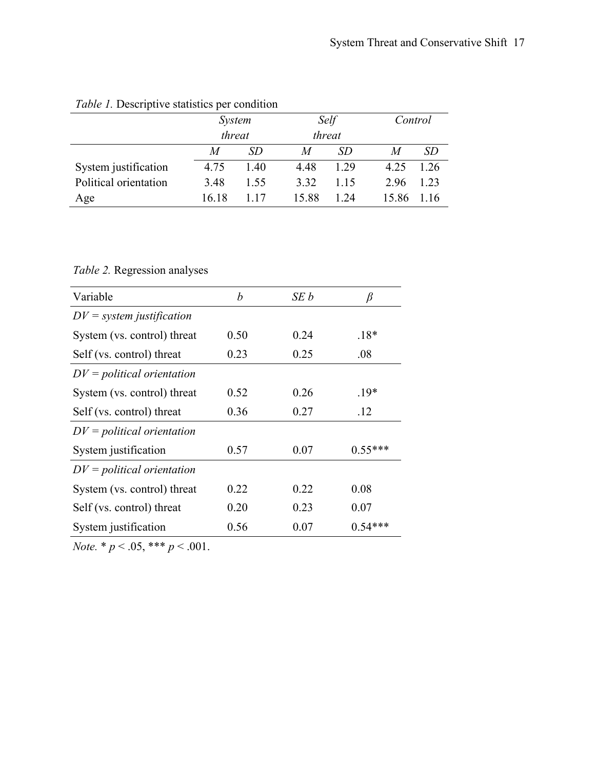| Twore 1. Besemplite statisties per containent |                         |       |       |                |       |         |  |  |  |
|-----------------------------------------------|-------------------------|-------|-------|----------------|-------|---------|--|--|--|
|                                               | <i>System</i><br>threat |       |       | Self<br>threat |       | Control |  |  |  |
|                                               |                         |       |       |                |       |         |  |  |  |
|                                               | M                       | SD    | M     | SD             | M     | SD      |  |  |  |
| System justification                          | 4.75                    | 1.40  | 4.48  | 1.29           | 4.25  | 1.26    |  |  |  |
| Political orientation                         | 3.48                    | 1.55  | 3.32  | 1 15           | 2.96  | 1.23    |  |  |  |
| Age                                           | 16 18                   | 1 1 7 | 15.88 | 1 2.4          | 15.86 | 1 16    |  |  |  |

# *Table 1.* Descriptive statistics per condition

*Table 2.* Regression analyses

| Variable                     | b    | SE b | β         |
|------------------------------|------|------|-----------|
| $DV = system$ justification  |      |      |           |
| System (vs. control) threat  | 0.50 | 0.24 | $.18*$    |
| Self (vs. control) threat    | 0.23 | 0.25 | .08       |
| $DV =$ political orientation |      |      |           |
| System (vs. control) threat  | 0.52 | 0.26 | $19*$     |
| Self (vs. control) threat    | 0.36 | 0.27 | .12       |
| $DV =$ political orientation |      |      |           |
| System justification         | 0.57 | 0.07 | $0.55***$ |
| $DV =$ political orientation |      |      |           |
| System (vs. control) threat  | 0.22 | 0.22 | 0.08      |
| Self (vs. control) threat    | 0.20 | 0.23 | 0.07      |
| System justification         | 0.56 | 0.07 | $0.54***$ |

*Note.* \*  $p < .05$ , \*\*\*  $p < .001$ .